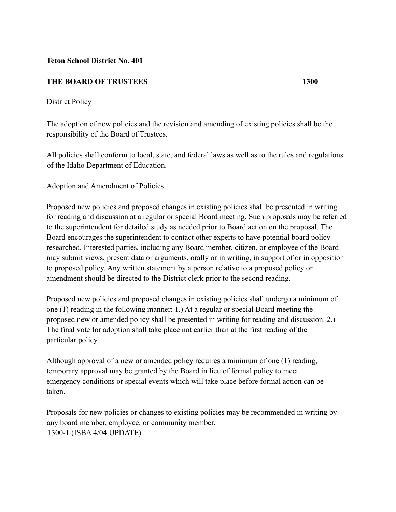### **Teton School District No. 401**

### **THE BOARD OF TRUSTEES 1300**

#### District Policy

The adoption of new policies and the revision and amending of existing policies shall be the responsibility of the Board of Trustees.

All policies shall conform to local, state, and federal laws as well as to the rules and regulations of the Idaho Department of Education.

#### Adoption and Amendment of Policies

Proposed new policies and proposed changes in existing policies shall be presented in writing for reading and discussion at a regular or special Board meeting. Such proposals may be referred to the superintendent for detailed study as needed prior to Board action on the proposal. The Board encourages the superintendent to contact other experts to have potential board policy researched. Interested parties, including any Board member, citizen, or employee of the Board may submit views, present data or arguments, orally or in writing, in support of or in opposition to proposed policy. Any written statement by a person relative to a proposed policy or amendment should be directed to the District clerk prior to the second reading.

Proposed new policies and proposed changes in existing policies shall undergo a minimum of one (1) reading in the following manner: 1.) At a regular or special Board meeting the proposed new or amended policy shall be presented in writing for reading and discussion. 2.) The final vote for adoption shall take place not earlier than at the first reading of the particular policy.

Although approval of a new or amended policy requires a minimum of one (1) reading, temporary approval may be granted by the Board in lieu of formal policy to meet emergency conditions or special events which will take place before formal action can be taken.

Proposals for new policies or changes to existing policies may be recommended in writing by any board member, employee, or community member. 1300-1 (ISBA 4/04 UPDATE)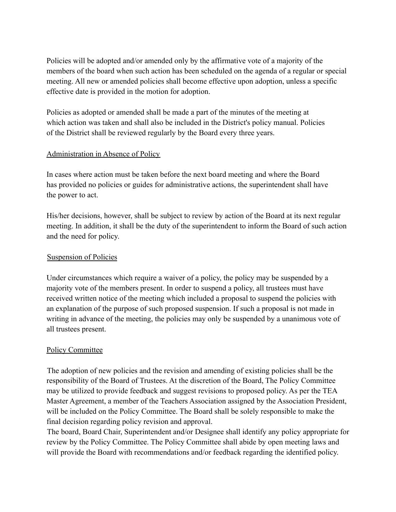Policies will be adopted and/or amended only by the affirmative vote of a majority of the members of the board when such action has been scheduled on the agenda of a regular or special meeting. All new or amended policies shall become effective upon adoption, unless a specific effective date is provided in the motion for adoption.

Policies as adopted or amended shall be made a part of the minutes of the meeting at which action was taken and shall also be included in the District's policy manual. Policies of the District shall be reviewed regularly by the Board every three years.

## Administration in Absence of Policy

In cases where action must be taken before the next board meeting and where the Board has provided no policies or guides for administrative actions, the superintendent shall have the power to act.

His/her decisions, however, shall be subject to review by action of the Board at its next regular meeting. In addition, it shall be the duty of the superintendent to inform the Board of such action and the need for policy.

## Suspension of Policies

Under circumstances which require a waiver of a policy, the policy may be suspended by a majority vote of the members present. In order to suspend a policy, all trustees must have received written notice of the meeting which included a proposal to suspend the policies with an explanation of the purpose of such proposed suspension. If such a proposal is not made in writing in advance of the meeting, the policies may only be suspended by a unanimous vote of all trustees present.

# Policy Committee

The adoption of new policies and the revision and amending of existing policies shall be the responsibility of the Board of Trustees. At the discretion of the Board, The Policy Committee may be utilized to provide feedback and suggest revisions to proposed policy. As per the TEA Master Agreement, a member of the Teachers Association assigned by the Association President, will be included on the Policy Committee. The Board shall be solely responsible to make the final decision regarding policy revision and approval.

The board, Board Chair, Superintendent and/or Designee shall identify any policy appropriate for review by the Policy Committee. The Policy Committee shall abide by open meeting laws and will provide the Board with recommendations and/or feedback regarding the identified policy.